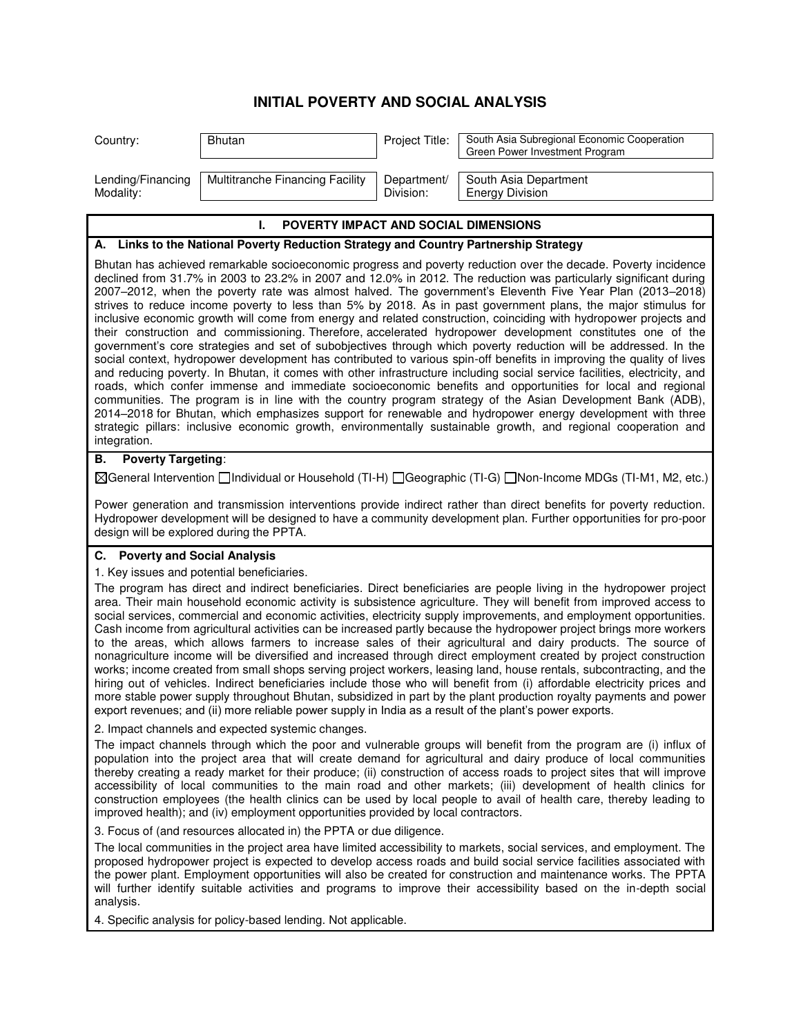## **INITIAL POVERTY AND SOCIAL ANALYSIS**

| Country:                                                                                                       | Bhutan                          | Project Title:           | South Asia Subregional Economic Cooperation<br>Green Power Investment Program |  |
|----------------------------------------------------------------------------------------------------------------|---------------------------------|--------------------------|-------------------------------------------------------------------------------|--|
| Lending/Financing<br>Modality:                                                                                 | Multitranche Financing Facility | Department/<br>Division: | South Asia Department<br><b>Energy Division</b>                               |  |
| <b>POVERTY IMPACT AND SOCIAL DIMENSIONS</b>                                                                    |                                 |                          |                                                                               |  |
| A. Links to the National Poverty Reduction Strategy and Country Partnership Strategy                           |                                 |                          |                                                                               |  |
| Rhutan has achieved remarkable socioeconomic progress and poverty reduction over the decade. Poverty incidence |                                 |                          |                                                                               |  |

Bhutan has achieved remarkable socioeconomic progress and poverty reduction over the decade. Poverty incidence declined from 31.7% in 2003 to 23.2% in 2007 and 12.0% in 2012. The reduction was particularly significant during 2007–2012, when the poverty rate was almost halved. The government's Eleventh Five Year Plan (2013–2018) strives to reduce income poverty to less than 5% by 2018. As in past government plans, the major stimulus for inclusive economic growth will come from energy and related construction, coinciding with hydropower projects and their construction and commissioning. Therefore, accelerated hydropower development constitutes one of the government's core strategies and set of subobjectives through which poverty reduction will be addressed. In the social context, hydropower development has contributed to various spin-off benefits in improving the quality of lives and reducing poverty. In Bhutan, it comes with other infrastructure including social service facilities, electricity, and roads, which confer immense and immediate socioeconomic benefits and opportunities for local and regional communities. The program is in line with the country program strategy of the Asian Development Bank (ADB), 2014–2018 for Bhutan, which emphasizes support for renewable and hydropower energy development with three strategic pillars: inclusive economic growth, environmentally sustainable growth, and regional cooperation and integration.

## **B. Poverty Targeting**:

General Intervention Individual or Household (TI-H) Geographic (TI-G) Non-Income MDGs (TI-M1, M2, etc.)

Power generation and transmission interventions provide indirect rather than direct benefits for poverty reduction. Hydropower development will be designed to have a community development plan. Further opportunities for pro-poor design will be explored during the PPTA.

## **C. Poverty and Social Analysis**

## 1. Key issues and potential beneficiaries.

The program has direct and indirect beneficiaries. Direct beneficiaries are people living in the hydropower project area. Their main household economic activity is subsistence agriculture. They will benefit from improved access to social services, commercial and economic activities, electricity supply improvements, and employment opportunities. Cash income from agricultural activities can be increased partly because the hydropower project brings more workers to the areas, which allows farmers to increase sales of their agricultural and dairy products. The source of nonagriculture income will be diversified and increased through direct employment created by project construction works; income created from small shops serving project workers, leasing land, house rentals, subcontracting, and the hiring out of vehicles. Indirect beneficiaries include those who will benefit from (i) affordable electricity prices and more stable power supply throughout Bhutan, subsidized in part by the plant production royalty payments and power export revenues; and (ii) more reliable power supply in India as a result of the plant's power exports.

2. Impact channels and expected systemic changes.

The impact channels through which the poor and vulnerable groups will benefit from the program are (i) influx of population into the project area that will create demand for agricultural and dairy produce of local communities thereby creating a ready market for their produce; (ii) construction of access roads to project sites that will improve accessibility of local communities to the main road and other markets; (iii) development of health clinics for construction employees (the health clinics can be used by local people to avail of health care, thereby leading to improved health); and (iv) employment opportunities provided by local contractors.

3. Focus of (and resources allocated in) the PPTA or due diligence.

The local communities in the project area have limited accessibility to markets, social services, and employment. The proposed hydropower project is expected to develop access roads and build social service facilities associated with the power plant. Employment opportunities will also be created for construction and maintenance works. The PPTA will further identify suitable activities and programs to improve their accessibility based on the in-depth social analysis.

4. Specific analysis for policy-based lending. Not applicable.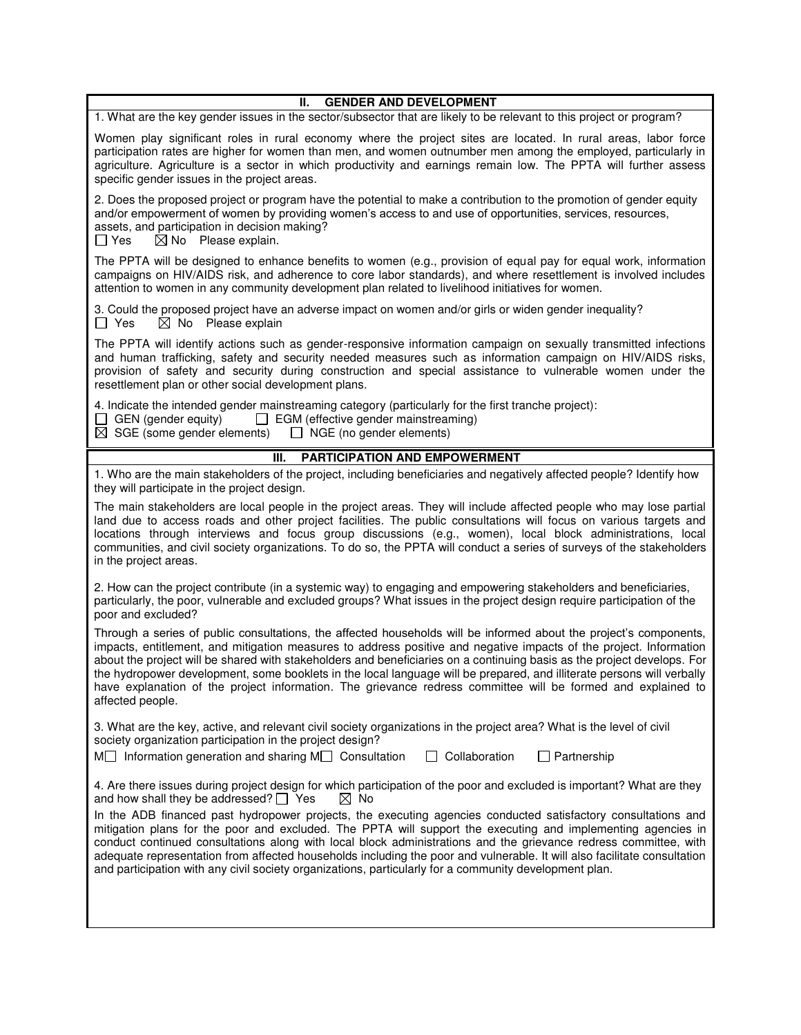| <b>GENDER AND DEVELOPMENT</b><br>Ш.                                                                                                                                                                                                                                                                                                                                                                                                                                                                                                                                                                                               |  |  |  |
|-----------------------------------------------------------------------------------------------------------------------------------------------------------------------------------------------------------------------------------------------------------------------------------------------------------------------------------------------------------------------------------------------------------------------------------------------------------------------------------------------------------------------------------------------------------------------------------------------------------------------------------|--|--|--|
| 1. What are the key gender issues in the sector/subsector that are likely to be relevant to this project or program?                                                                                                                                                                                                                                                                                                                                                                                                                                                                                                              |  |  |  |
| Women play significant roles in rural economy where the project sites are located. In rural areas, labor force<br>participation rates are higher for women than men, and women outnumber men among the employed, particularly in<br>agriculture. Agriculture is a sector in which productivity and earnings remain low. The PPTA will further assess<br>specific gender issues in the project areas.                                                                                                                                                                                                                              |  |  |  |
| 2. Does the proposed project or program have the potential to make a contribution to the promotion of gender equity<br>and/or empowerment of women by providing women's access to and use of opportunities, services, resources,<br>assets, and participation in decision making?<br>$\boxtimes$ No Please explain.<br>$\Box$ Yes                                                                                                                                                                                                                                                                                                 |  |  |  |
| The PPTA will be designed to enhance benefits to women (e.g., provision of equal pay for equal work, information<br>campaigns on HIV/AIDS risk, and adherence to core labor standards), and where resettlement is involved includes<br>attention to women in any community development plan related to livelihood initiatives for women.                                                                                                                                                                                                                                                                                          |  |  |  |
| 3. Could the proposed project have an adverse impact on women and/or girls or widen gender inequality?<br>$\boxtimes$ No Please explain<br>$\Box$ Yes                                                                                                                                                                                                                                                                                                                                                                                                                                                                             |  |  |  |
| The PPTA will identify actions such as gender-responsive information campaign on sexually transmitted infections<br>and human trafficking, safety and security needed measures such as information campaign on HIV/AIDS risks,<br>provision of safety and security during construction and special assistance to vulnerable women under the<br>resettlement plan or other social development plans.                                                                                                                                                                                                                               |  |  |  |
| 4. Indicate the intended gender mainstreaming category (particularly for the first tranche project):<br>$\Box$ GEN (gender equity) $\Box$ EGM (effective gender mainstreaming)<br>$\boxtimes$ SGE (some gender elements) $\Box$ NGE (no gender elements)                                                                                                                                                                                                                                                                                                                                                                          |  |  |  |
| III.<br>PARTICIPATION AND EMPOWERMENT                                                                                                                                                                                                                                                                                                                                                                                                                                                                                                                                                                                             |  |  |  |
| 1. Who are the main stakeholders of the project, including beneficiaries and negatively affected people? Identify how<br>they will participate in the project design.                                                                                                                                                                                                                                                                                                                                                                                                                                                             |  |  |  |
| The main stakeholders are local people in the project areas. They will include affected people who may lose partial<br>land due to access roads and other project facilities. The public consultations will focus on various targets and<br>locations through interviews and focus group discussions (e.g., women), local block administrations, local<br>communities, and civil society organizations. To do so, the PPTA will conduct a series of surveys of the stakeholders<br>in the project areas.                                                                                                                          |  |  |  |
| 2. How can the project contribute (in a systemic way) to engaging and empowering stakeholders and beneficiaries,<br>particularly, the poor, vulnerable and excluded groups? What issues in the project design require participation of the<br>poor and excluded?                                                                                                                                                                                                                                                                                                                                                                  |  |  |  |
| Through a series of public consultations, the affected households will be informed about the project's components,<br>impacts, entitlement, and mitigation measures to address positive and negative impacts of the project. Information<br>about the project will be shared with stakeholders and beneficiaries on a continuing basis as the project develops. For<br>the hydropower development, some booklets in the local language will be prepared, and illiterate persons will verbally<br>have explanation of the project information. The grievance redress committee will be formed and explained to<br>affected people. |  |  |  |
| 3. What are the key, active, and relevant civil society organizations in the project area? What is the level of civil<br>society organization participation in the project design?<br>$M$ Information generation and sharing $M$ Consultation<br>Collaboration<br>$\Box$ Partnership                                                                                                                                                                                                                                                                                                                                              |  |  |  |
|                                                                                                                                                                                                                                                                                                                                                                                                                                                                                                                                                                                                                                   |  |  |  |
| 4. Are there issues during project design for which participation of the poor and excluded is important? What are they<br>and how shall they be addressed? $\Box$ Yes<br>⊠ No                                                                                                                                                                                                                                                                                                                                                                                                                                                     |  |  |  |
| In the ADB financed past hydropower projects, the executing agencies conducted satisfactory consultations and<br>mitigation plans for the poor and excluded. The PPTA will support the executing and implementing agencies in<br>conduct continued consultations along with local block administrations and the grievance redress committee, with<br>adequate representation from affected households including the poor and vulnerable. It will also facilitate consultation<br>and participation with any civil society organizations, particularly for a community development plan.                                           |  |  |  |
|                                                                                                                                                                                                                                                                                                                                                                                                                                                                                                                                                                                                                                   |  |  |  |